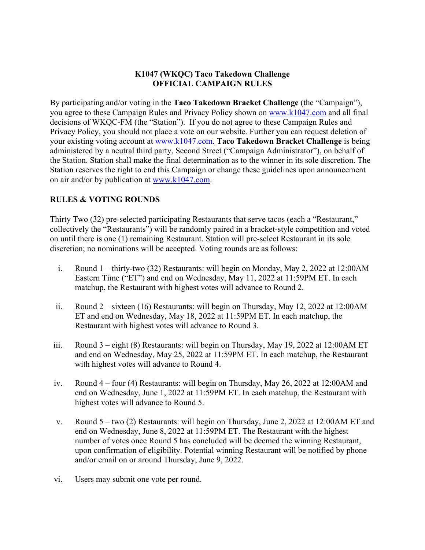### **K1047 (WKQC) Taco Takedown Challenge OFFICIAL CAMPAIGN RULES**

By participating and/or voting in the **Taco Takedown Bracket Challenge** (the "Campaign"), you agree to these Campaign Rules and Privacy Policy shown on www.k1047.com and all final decisions of WKQC-FM (the "Station"). If you do not agree to these Campaign Rules and Privacy Policy, you should not place a vote on our website. Further you can request deletion of your existing voting account at www.k1047.com. **Taco Takedown Bracket Challenge** is being administered by a neutral third party, Second Street ("Campaign Administrator"), on behalf of the Station. Station shall make the final determination as to the winner in its sole discretion. The Station reserves the right to end this Campaign or change these guidelines upon announcement on air and/or by publication at www.k1047.com.

## **RULES & VOTING ROUNDS**

Thirty Two (32) pre-selected participating Restaurants that serve tacos (each a "Restaurant," collectively the "Restaurants") will be randomly paired in a bracket-style competition and voted on until there is one (1) remaining Restaurant. Station will pre-select Restaurant in its sole discretion; no nominations will be accepted. Voting rounds are as follows:

- i. Round 1 thirty-two (32) Restaurants: will begin on Monday, May 2, 2022 at 12:00AM Eastern Time ("ET") and end on Wednesday, May 11, 2022 at 11:59PM ET. In each matchup, the Restaurant with highest votes will advance to Round 2.
- ii. Round  $2 -$  sixteen (16) Restaurants: will begin on Thursday, May 12, 2022 at 12:00 AM ET and end on Wednesday, May 18, 2022 at 11:59PM ET. In each matchup, the Restaurant with highest votes will advance to Round 3.
- iii. Round 3 eight (8) Restaurants: will begin on Thursday, May 19, 2022 at 12:00AM ET and end on Wednesday, May 25, 2022 at 11:59PM ET. In each matchup, the Restaurant with highest votes will advance to Round 4.
- iv. Round 4 four (4) Restaurants: will begin on Thursday, May 26, 2022 at 12:00AM and end on Wednesday, June 1, 2022 at 11:59PM ET. In each matchup, the Restaurant with highest votes will advance to Round 5.
- v. Round 5 two (2) Restaurants: will begin on Thursday, June 2, 2022 at 12:00AM ET and end on Wednesday, June 8, 2022 at 11:59PM ET. The Restaurant with the highest number of votes once Round 5 has concluded will be deemed the winning Restaurant, upon confirmation of eligibility. Potential winning Restaurant will be notified by phone and/or email on or around Thursday, June 9, 2022.
- vi. Users may submit one vote per round.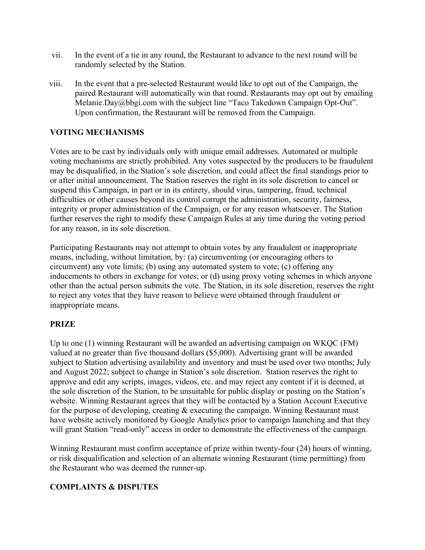- vii. In the event of a tie in any round, the Restaurant to advance to the next round will be randomly selected by the Station.
- viii. In the event that a pre-selected Restaurant would like to opt out of the Campaign, the paired Restaurant will automatically win that round. Restaurants may opt out by emailing Melanie.Day@bbgi.com with the subject line "Taco Takedown Campaign Opt-Out". Upon confirmation, the Restaurant will be removed from the Campaign.

## **VOTING MECHANISMS**

Votes are to be cast by individuals only with unique email addresses. Automated or multiple voting mechanisms are strictly prohibited. Any votes suspected by the producers to be fraudulent may be disqualified, in the Station's sole discretion, and could affect the final standings prior to or after initial announcement. The Station reserves the right in its sole discretion to cancel or suspend this Campaign, in part or in its entirety, should virus, tampering, fraud, technical difficulties or other causes beyond its control corrupt the administration, security, fairness, integrity or proper administration of the Campaign, or for any reason whatsoever. The Station further reserves the right to modify these Campaign Rules at any time during the voting period for any reason, in its sole discretion.

Participating Restaurants may not attempt to obtain votes by any fraudulent or inappropriate means, including, without limitation, by: (a) circumventing (or encouraging others to circumvent) any vote limits; (b) using any automated system to vote; (c) offering any inducements to others in exchange for votes; or (d) using proxy voting schemes in which anyone other than the actual person submits the vote. The Station, in its sole discretion, reserves the right to reject any votes that they have reason to believe were obtained through fraudulent or inappropriate means.

#### **PRIZE**

Up to one (1) winning Restaurant will be awarded an advertising campaign on WKQC (FM) valued at no greater than five thousand dollars (\$5,000). Advertising grant will be awarded subject to Station advertising availability and inventory and must be used over two months; July and August 2022; subject to change in Station's sole discretion. Station reserves the right to approve and edit any scripts, images, videos, etc. and may reject any content if it is deemed, at the sole discretion of the Station, to be unsuitable for public display or posting on the Station's website. Winning Restaurant agrees that they will be contacted by a Station Account Executive for the purpose of developing, creating & executing the campaign. Winning Restaurant must have website actively monitored by Google Analytics prior to campaign launching and that they will grant Station "read-only" access in order to demonstrate the effectiveness of the campaign.

Winning Restaurant must confirm acceptance of prize within twenty-four (24) hours of winning, or risk disqualification and selection of an alternate winning Restaurant (time permitting) from the Restaurant who was deemed the runner-up.

#### **COMPLAINTS & DISPUTES**